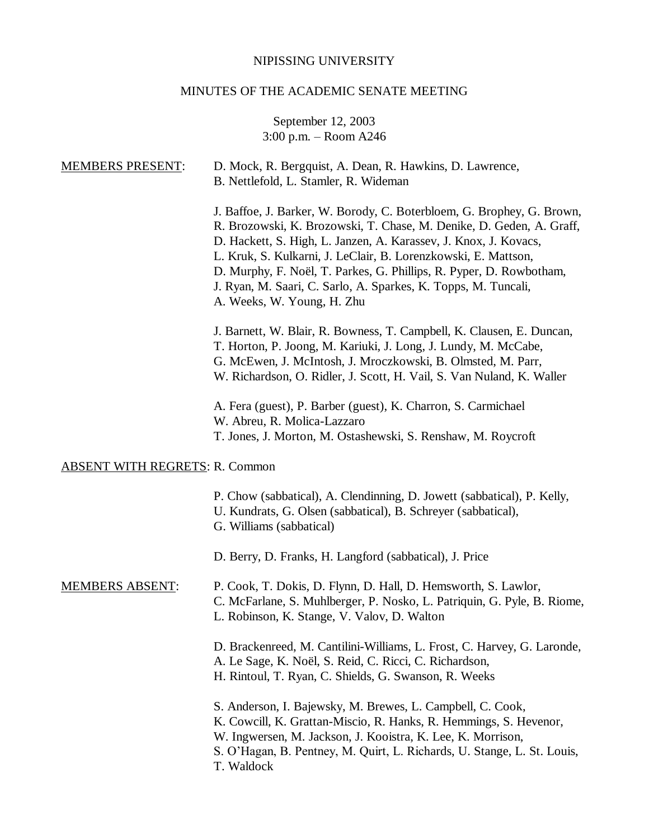# NIPISSING UNIVERSITY

# MINUTES OF THE ACADEMIC SENATE MEETING

# September 12, 2003 3:00 p.m. – Room A246

| <b>MEMBERS PRESENT:</b>               | D. Mock, R. Bergquist, A. Dean, R. Hawkins, D. Lawrence,<br>B. Nettlefold, L. Stamler, R. Wideman                                                                                                                                                                                                                                                                                                                                                          |
|---------------------------------------|------------------------------------------------------------------------------------------------------------------------------------------------------------------------------------------------------------------------------------------------------------------------------------------------------------------------------------------------------------------------------------------------------------------------------------------------------------|
|                                       | J. Baffoe, J. Barker, W. Borody, C. Boterbloem, G. Brophey, G. Brown,<br>R. Brozowski, K. Brozowski, T. Chase, M. Denike, D. Geden, A. Graff,<br>D. Hackett, S. High, L. Janzen, A. Karassev, J. Knox, J. Kovacs,<br>L. Kruk, S. Kulkarni, J. LeClair, B. Lorenzkowski, E. Mattson,<br>D. Murphy, F. Noël, T. Parkes, G. Phillips, R. Pyper, D. Rowbotham,<br>J. Ryan, M. Saari, C. Sarlo, A. Sparkes, K. Topps, M. Tuncali,<br>A. Weeks, W. Young, H. Zhu |
|                                       | J. Barnett, W. Blair, R. Bowness, T. Campbell, K. Clausen, E. Duncan,<br>T. Horton, P. Joong, M. Kariuki, J. Long, J. Lundy, M. McCabe,<br>G. McEwen, J. McIntosh, J. Mroczkowski, B. Olmsted, M. Parr,<br>W. Richardson, O. Ridler, J. Scott, H. Vail, S. Van Nuland, K. Waller                                                                                                                                                                           |
|                                       | A. Fera (guest), P. Barber (guest), K. Charron, S. Carmichael<br>W. Abreu, R. Molica-Lazzaro<br>T. Jones, J. Morton, M. Ostashewski, S. Renshaw, M. Roycroft                                                                                                                                                                                                                                                                                               |
| <b>ABSENT WITH REGRETS: R. Common</b> |                                                                                                                                                                                                                                                                                                                                                                                                                                                            |
|                                       | P. Chow (sabbatical), A. Clendinning, D. Jowett (sabbatical), P. Kelly,<br>U. Kundrats, G. Olsen (sabbatical), B. Schreyer (sabbatical),<br>G. Williams (sabbatical)                                                                                                                                                                                                                                                                                       |
|                                       | D. Berry, D. Franks, H. Langford (sabbatical), J. Price                                                                                                                                                                                                                                                                                                                                                                                                    |
| <b>MEMBERS ABSENT:</b>                | P. Cook, T. Dokis, D. Flynn, D. Hall, D. Hemsworth, S. Lawlor,<br>C. McFarlane, S. Muhlberger, P. Nosko, L. Patriquin, G. Pyle, B. Riome,<br>L. Robinson, K. Stange, V. Valov, D. Walton                                                                                                                                                                                                                                                                   |
|                                       | D. Brackenreed, M. Cantilini-Williams, L. Frost, C. Harvey, G. Laronde,<br>A. Le Sage, K. Noël, S. Reid, C. Ricci, C. Richardson,<br>H. Rintoul, T. Ryan, C. Shields, G. Swanson, R. Weeks                                                                                                                                                                                                                                                                 |
|                                       | S. Anderson, I. Bajewsky, M. Brewes, L. Campbell, C. Cook,<br>K. Cowcill, K. Grattan-Miscio, R. Hanks, R. Hemmings, S. Hevenor,<br>W. Ingwersen, M. Jackson, J. Kooistra, K. Lee, K. Morrison,<br>S. O'Hagan, B. Pentney, M. Quirt, L. Richards, U. Stange, L. St. Louis,<br>T. Waldock                                                                                                                                                                    |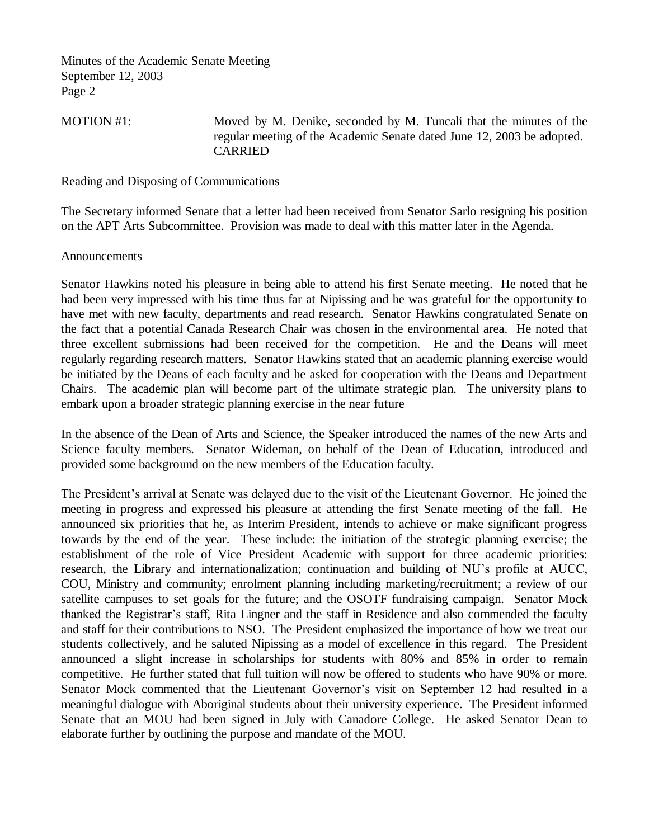MOTION #1: Moved by M. Denike, seconded by M. Tuncali that the minutes of the regular meeting of the Academic Senate dated June 12, 2003 be adopted. CARRIED

#### Reading and Disposing of Communications

The Secretary informed Senate that a letter had been received from Senator Sarlo resigning his position on the APT Arts Subcommittee. Provision was made to deal with this matter later in the Agenda.

#### Announcements

Senator Hawkins noted his pleasure in being able to attend his first Senate meeting. He noted that he had been very impressed with his time thus far at Nipissing and he was grateful for the opportunity to have met with new faculty, departments and read research. Senator Hawkins congratulated Senate on the fact that a potential Canada Research Chair was chosen in the environmental area. He noted that three excellent submissions had been received for the competition. He and the Deans will meet regularly regarding research matters. Senator Hawkins stated that an academic planning exercise would be initiated by the Deans of each faculty and he asked for cooperation with the Deans and Department Chairs. The academic plan will become part of the ultimate strategic plan. The university plans to embark upon a broader strategic planning exercise in the near future

In the absence of the Dean of Arts and Science, the Speaker introduced the names of the new Arts and Science faculty members. Senator Wideman, on behalf of the Dean of Education, introduced and provided some background on the new members of the Education faculty.

The President's arrival at Senate was delayed due to the visit of the Lieutenant Governor. He joined the meeting in progress and expressed his pleasure at attending the first Senate meeting of the fall. He announced six priorities that he, as Interim President, intends to achieve or make significant progress towards by the end of the year. These include: the initiation of the strategic planning exercise; the establishment of the role of Vice President Academic with support for three academic priorities: research, the Library and internationalization; continuation and building of NU's profile at AUCC, COU, Ministry and community; enrolment planning including marketing/recruitment; a review of our satellite campuses to set goals for the future; and the OSOTF fundraising campaign. Senator Mock thanked the Registrar's staff, Rita Lingner and the staff in Residence and also commended the faculty and staff for their contributions to NSO. The President emphasized the importance of how we treat our students collectively, and he saluted Nipissing as a model of excellence in this regard. The President announced a slight increase in scholarships for students with 80% and 85% in order to remain competitive. He further stated that full tuition will now be offered to students who have 90% or more. Senator Mock commented that the Lieutenant Governor's visit on September 12 had resulted in a meaningful dialogue with Aboriginal students about their university experience. The President informed Senate that an MOU had been signed in July with Canadore College. He asked Senator Dean to elaborate further by outlining the purpose and mandate of the MOU.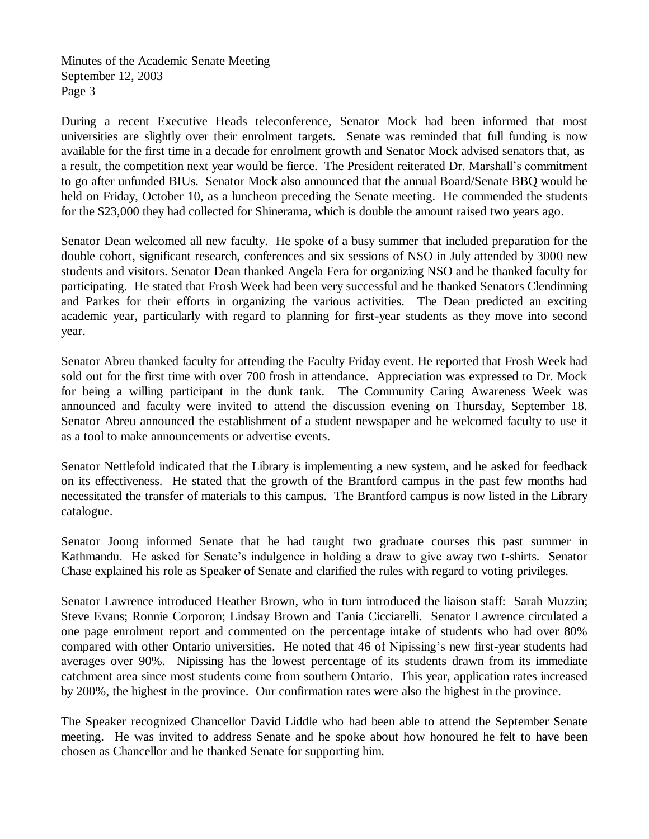During a recent Executive Heads teleconference, Senator Mock had been informed that most universities are slightly over their enrolment targets. Senate was reminded that full funding is now available for the first time in a decade for enrolment growth and Senator Mock advised senators that, as a result, the competition next year would be fierce. The President reiterated Dr. Marshall's commitment to go after unfunded BIUs. Senator Mock also announced that the annual Board/Senate BBQ would be held on Friday, October 10, as a luncheon preceding the Senate meeting. He commended the students for the \$23,000 they had collected for Shinerama, which is double the amount raised two years ago.

Senator Dean welcomed all new faculty. He spoke of a busy summer that included preparation for the double cohort, significant research, conferences and six sessions of NSO in July attended by 3000 new students and visitors. Senator Dean thanked Angela Fera for organizing NSO and he thanked faculty for participating. He stated that Frosh Week had been very successful and he thanked Senators Clendinning and Parkes for their efforts in organizing the various activities. The Dean predicted an exciting academic year, particularly with regard to planning for first-year students as they move into second year.

Senator Abreu thanked faculty for attending the Faculty Friday event. He reported that Frosh Week had sold out for the first time with over 700 frosh in attendance. Appreciation was expressed to Dr. Mock for being a willing participant in the dunk tank. The Community Caring Awareness Week was announced and faculty were invited to attend the discussion evening on Thursday, September 18. Senator Abreu announced the establishment of a student newspaper and he welcomed faculty to use it as a tool to make announcements or advertise events.

Senator Nettlefold indicated that the Library is implementing a new system, and he asked for feedback on its effectiveness. He stated that the growth of the Brantford campus in the past few months had necessitated the transfer of materials to this campus. The Brantford campus is now listed in the Library catalogue.

Senator Joong informed Senate that he had taught two graduate courses this past summer in Kathmandu. He asked for Senate's indulgence in holding a draw to give away two t-shirts. Senator Chase explained his role as Speaker of Senate and clarified the rules with regard to voting privileges.

Senator Lawrence introduced Heather Brown, who in turn introduced the liaison staff: Sarah Muzzin; Steve Evans; Ronnie Corporon; Lindsay Brown and Tania Cicciarelli. Senator Lawrence circulated a one page enrolment report and commented on the percentage intake of students who had over 80% compared with other Ontario universities. He noted that 46 of Nipissing's new first-year students had averages over 90%. Nipissing has the lowest percentage of its students drawn from its immediate catchment area since most students come from southern Ontario. This year, application rates increased by 200%, the highest in the province. Our confirmation rates were also the highest in the province.

The Speaker recognized Chancellor David Liddle who had been able to attend the September Senate meeting. He was invited to address Senate and he spoke about how honoured he felt to have been chosen as Chancellor and he thanked Senate for supporting him.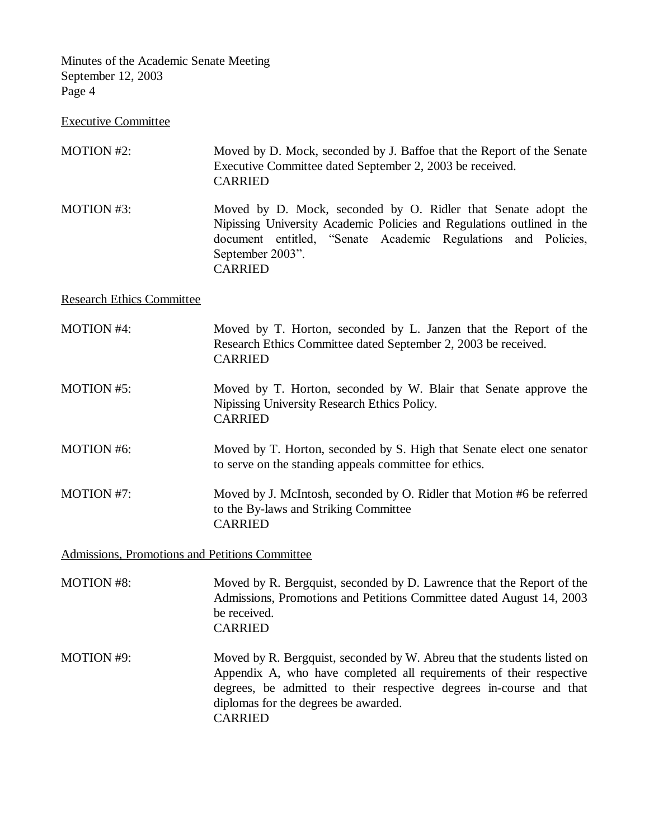Executive Committee

| MOTION #2:                       | Moved by D. Mock, seconded by J. Baffoe that the Report of the Senate<br>Executive Committee dated September 2, 2003 be received.<br><b>CARRIED</b>                                                                                                                             |
|----------------------------------|---------------------------------------------------------------------------------------------------------------------------------------------------------------------------------------------------------------------------------------------------------------------------------|
| MOTION #3:                       | Moved by D. Mock, seconded by O. Ridler that Senate adopt the<br>Nipissing University Academic Policies and Regulations outlined in the<br>document entitled, "Senate Academic Regulations and Policies,<br>September 2003".<br><b>CARRIED</b>                                  |
| <b>Research Ethics Committee</b> |                                                                                                                                                                                                                                                                                 |
| <b>MOTION #4:</b>                | Moved by T. Horton, seconded by L. Janzen that the Report of the<br>Research Ethics Committee dated September 2, 2003 be received.<br><b>CARRIED</b>                                                                                                                            |
| MOTION #5:                       | Moved by T. Horton, seconded by W. Blair that Senate approve the<br>Nipissing University Research Ethics Policy.<br><b>CARRIED</b>                                                                                                                                              |
| <b>MOTION #6:</b>                | Moved by T. Horton, seconded by S. High that Senate elect one senator<br>to serve on the standing appeals committee for ethics.                                                                                                                                                 |
| MOTION #7:                       | Moved by J. McIntosh, seconded by O. Ridler that Motion #6 be referred<br>to the By-laws and Striking Committee<br><b>CARRIED</b>                                                                                                                                               |
|                                  | Admissions, Promotions and Petitions Committee                                                                                                                                                                                                                                  |
| <b>MOTION #8:</b>                | Moved by R. Bergquist, seconded by D. Lawrence that the Report of the<br>Admissions, Promotions and Petitions Committee dated August 14, 2003<br>be received.<br><b>CARRIED</b>                                                                                                 |
| <b>MOTION #9:</b>                | Moved by R. Bergquist, seconded by W. Abreu that the students listed on<br>Appendix A, who have completed all requirements of their respective<br>degrees, be admitted to their respective degrees in-course and that<br>diplomas for the degrees be awarded.<br><b>CARRIED</b> |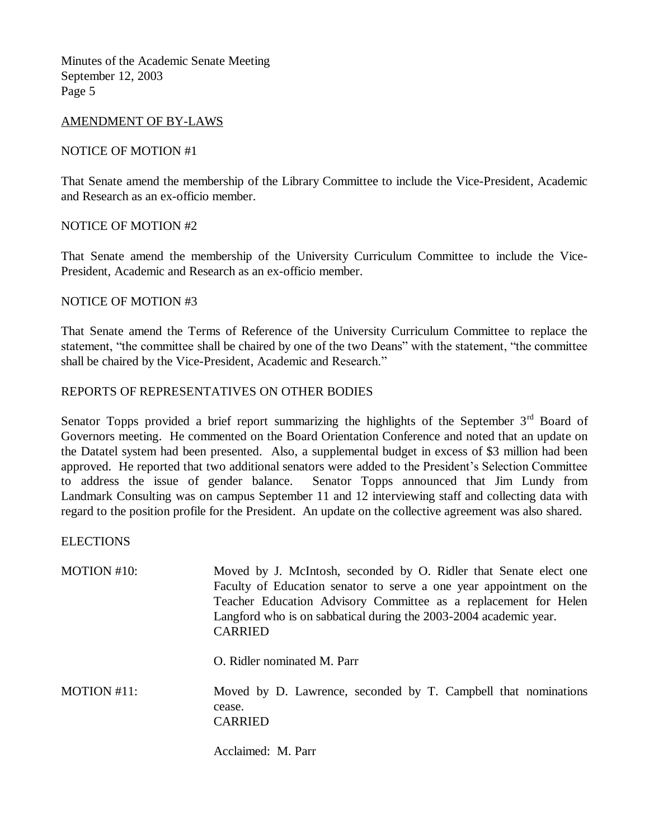### AMENDMENT OF BY-LAWS

### NOTICE OF MOTION #1

That Senate amend the membership of the Library Committee to include the Vice-President, Academic and Research as an ex-officio member.

### NOTICE OF MOTION #2

That Senate amend the membership of the University Curriculum Committee to include the Vice-President, Academic and Research as an ex-officio member.

### NOTICE OF MOTION #3

That Senate amend the Terms of Reference of the University Curriculum Committee to replace the statement, "the committee shall be chaired by one of the two Deans" with the statement, "the committee shall be chaired by the Vice-President, Academic and Research."

## REPORTS OF REPRESENTATIVES ON OTHER BODIES

Senator Topps provided a brief report summarizing the highlights of the September  $3<sup>rd</sup>$  Board of Governors meeting. He commented on the Board Orientation Conference and noted that an update on the Datatel system had been presented. Also, a supplemental budget in excess of \$3 million had been approved. He reported that two additional senators were added to the President's Selection Committee to address the issue of gender balance. Senator Topps announced that Jim Lundy from Landmark Consulting was on campus September 11 and 12 interviewing staff and collecting data with regard to the position profile for the President. An update on the collective agreement was also shared.

**ELECTIONS** 

| MOTION #10: | Moved by J. McIntosh, seconded by O. Ridler that Senate elect one<br>Faculty of Education senator to serve a one year appointment on the<br>Teacher Education Advisory Committee as a replacement for Helen<br>Langford who is on sabbatical during the 2003-2004 academic year.<br><b>CARRIED</b> |
|-------------|----------------------------------------------------------------------------------------------------------------------------------------------------------------------------------------------------------------------------------------------------------------------------------------------------|
|             | O. Ridler nominated M. Parr                                                                                                                                                                                                                                                                        |
| MOTION #11: | Moved by D. Lawrence, seconded by T. Campbell that nominations<br>cease.<br>CARRIED                                                                                                                                                                                                                |

Acclaimed: M. Parr